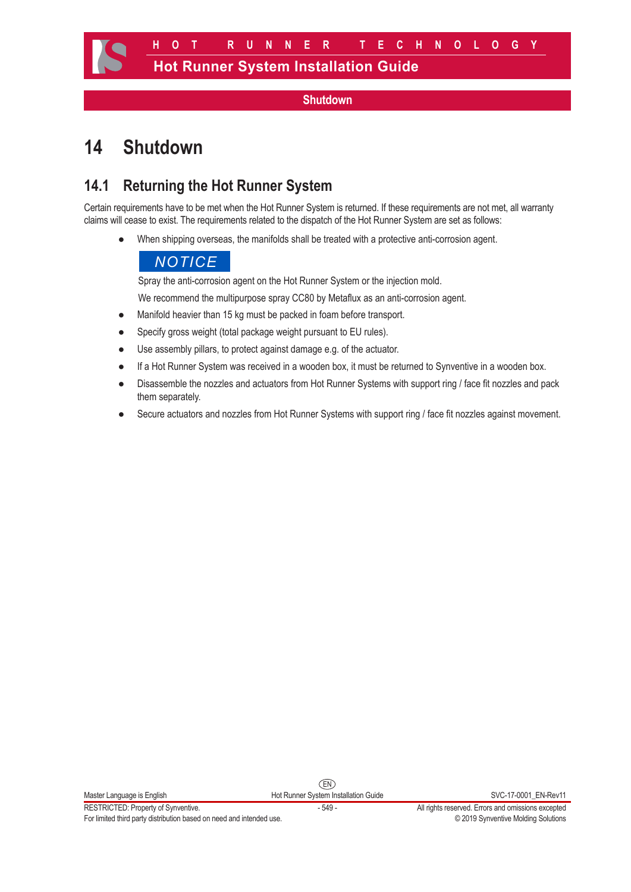#### **Shutdown**

# **14 Shutdown**

# **14.1 Returning the Hot Runner System**

Certain requirements have to be met when the Hot Runner System is returned. If these requirements are not met, all warranty claims will cease to exist. The requirements related to the dispatch of the Hot Runner System are set as follows:

● When shipping overseas, the manifolds shall be treated with a protective anti-corrosion agent.

### *NOTICE*

Spray the anti-corrosion agent on the Hot Runner System or the injection mold.

We recommend the multipurpose spray CC80 by Metaflux as an anti-corrosion agent.

- Manifold heavier than 15 kg must be packed in foam before transport.
- Specify gross weight (total package weight pursuant to EU rules).
- Use assembly pillars, to protect against damage e.g. of the actuator.
- If a Hot Runner System was received in a wooden box, it must be returned to Synventive in a wooden box.
- Disassemble the nozzles and actuators from Hot Runner Systems with support ring / face fit nozzles and pack them separately.
- Secure actuators and nozzles from Hot Runner Systems with support ring / face fit nozzles against movement.

RESTRICTED: Property of Synventive.<br>
For limited third party distribution based on need and intended use.<br>
For limited third party distribution based on need and intended use.<br>
Cacing Synventive Molding Solutions For limited third party distribution based on need and intended use.